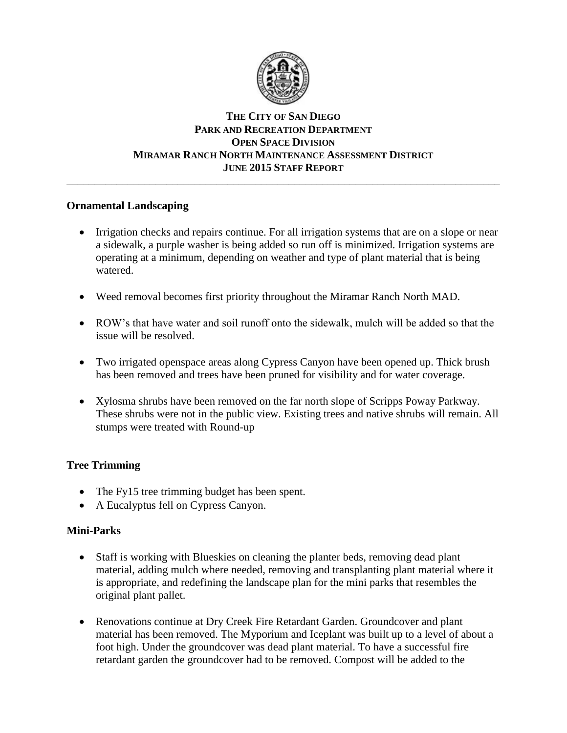

## **THE CITY OF SAN DIEGO PARK AND RECREATION DEPARTMENT OPEN SPACE DIVISION MIRAMAR RANCH NORTH MAINTENANCE ASSESSMENT DISTRICT JUNE 2015 STAFF REPORT**

\_\_\_\_\_\_\_\_\_\_\_\_\_\_\_\_\_\_\_\_\_\_\_\_\_\_\_\_\_\_\_\_\_\_\_\_\_\_\_\_\_\_\_\_\_\_\_\_\_\_\_\_\_\_\_\_\_\_\_\_\_\_\_\_\_\_\_\_\_\_\_\_\_\_\_\_\_\_

## **Ornamental Landscaping**

- Irrigation checks and repairs continue. For all irrigation systems that are on a slope or near a sidewalk, a purple washer is being added so run off is minimized. Irrigation systems are operating at a minimum, depending on weather and type of plant material that is being watered.
- Weed removal becomes first priority throughout the Miramar Ranch North MAD.
- ROW's that have water and soil runoff onto the sidewalk, mulch will be added so that the issue will be resolved.
- Two irrigated openspace areas along Cypress Canyon have been opened up. Thick brush has been removed and trees have been pruned for visibility and for water coverage.
- Xylosma shrubs have been removed on the far north slope of Scripps Poway Parkway. These shrubs were not in the public view. Existing trees and native shrubs will remain. All stumps were treated with Round-up

## **Tree Trimming**

- The Fy15 tree trimming budget has been spent.
- A Eucalyptus fell on Cypress Canyon.

## **Mini-Parks**

- Staff is working with Blueskies on cleaning the planter beds, removing dead plant material, adding mulch where needed, removing and transplanting plant material where it is appropriate, and redefining the landscape plan for the mini parks that resembles the original plant pallet.
- Renovations continue at Dry Creek Fire Retardant Garden. Groundcover and plant material has been removed. The Myporium and Iceplant was built up to a level of about a foot high. Under the groundcover was dead plant material. To have a successful fire retardant garden the groundcover had to be removed. Compost will be added to the